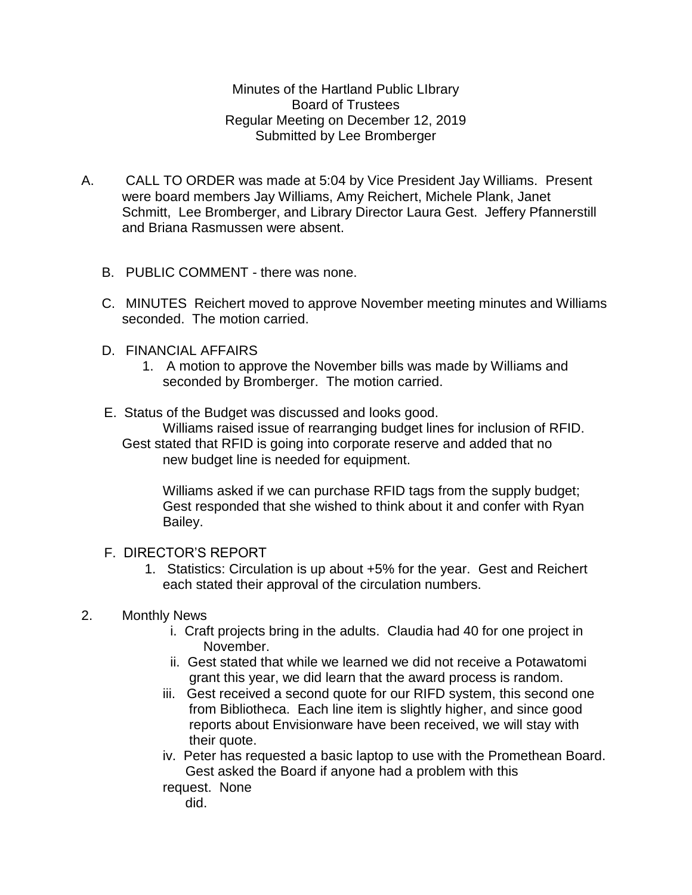Minutes of the Hartland Public LIbrary Board of Trustees Regular Meeting on December 12, 2019 Submitted by Lee Bromberger

- A. CALL TO ORDER was made at 5:04 by Vice President Jay Williams. Present were board members Jay Williams, Amy Reichert, Michele Plank, Janet Schmitt, Lee Bromberger, and Library Director Laura Gest. Jeffery Pfannerstill and Briana Rasmussen were absent.
	- B. PUBLIC COMMENT there was none.
	- C. MINUTES Reichert moved to approve November meeting minutes and Williams seconded. The motion carried.
	- D. FINANCIAL AFFAIRS
		- 1. A motion to approve the November bills was made by Williams and seconded by Bromberger. The motion carried.
	- E. Status of the Budget was discussed and looks good. Williams raised issue of rearranging budget lines for inclusion of RFID. Gest stated that RFID is going into corporate reserve and added that no new budget line is needed for equipment.

Williams asked if we can purchase RFID tags from the supply budget; Gest responded that she wished to think about it and confer with Ryan Bailey.

## F. DIRECTOR'S REPORT

1. Statistics: Circulation is up about +5% for the year. Gest and Reichert each stated their approval of the circulation numbers.

## 2. Monthly News

- i. Craft projects bring in the adults. Claudia had 40 for one project in November.
- ii. Gest stated that while we learned we did not receive a Potawatomi grant this year, we did learn that the award process is random.
- iii. Gest received a second quote for our RIFD system, this second one from Bibliotheca. Each line item is slightly higher, and since good reports about Envisionware have been received, we will stay with their quote.
- iv. Peter has requested a basic laptop to use with the Promethean Board. Gest asked the Board if anyone had a problem with this

request. None

did.